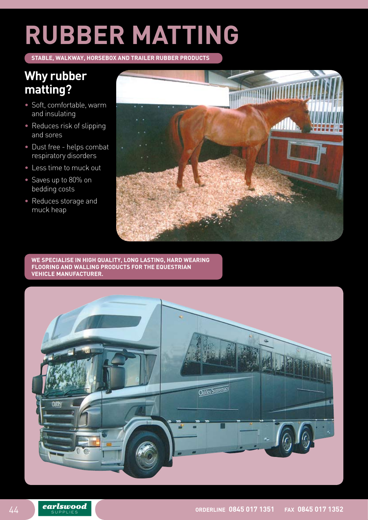# **RUBBER MATTING**

**STABLE, WALKWAY, HORSEBOX AND TRAILER RUBBER PRODUCTS** 

## **Why rubber matting?**

- • Soft, comfortable, warm and insulating
- Reduces risk of slipping and sores
- • Dust free helps combat respiratory disorders
- Less time to muck out
- Saves up to 80% on bedding costs
- • Reduces storage and muck heap



**We specialise in high quality, long lasting, hard wearing flooring and walling products for the equestrian vehicle manufacturer.**

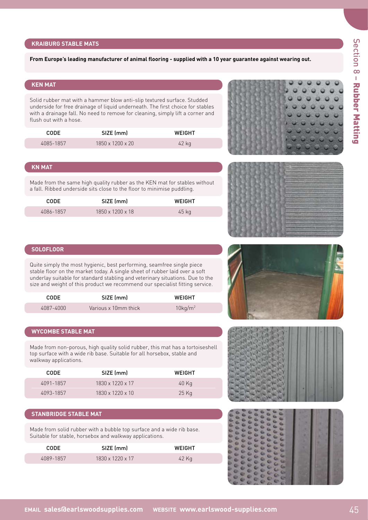#### **KRAIBURG STABLE MATS**

#### **From Europe's leading manufacturer of animal flooring - supplied with a 10 year guarantee against wearing out.**

#### **KEN MAT**

Solid rubber mat with a hammer blow anti-slip textured surface. Studded underside for free drainage of liquid underneath. The first choice for stables with a drainage fall. No need to remove for cleaning, simply lift a corner and flush out with a hose. 

| CODE.     | SIZE (mm)                    | WEIGHT |
|-----------|------------------------------|--------|
| 4085-1857 | $1850 \times 1200 \times 20$ | 42 kg  |

#### **KN MAT**

Made from the same high quality rubber as the KEN mat for stables without a fall. Ribbed underside sits close to the floor to minimise puddling.

| CODE      | SIZE (mm)                    | WEIGHT |
|-----------|------------------------------|--------|
| 4086-1857 | $1850 \times 1200 \times 18$ | 45 kg  |





#### **SOLOFLOOR**

Quite simply the most hygienic, best performing, seamfree single piece stable floor on the market today. A single sheet of rubber laid over a soft underlay suitable for standard stabling and veterinary situations. Due to the size and weight of this product we recommend our specialist fitting service.

| CODE.     | SIZE (mm)            | WEIGHT                 |
|-----------|----------------------|------------------------|
| 4087-4000 | Various x 10mm thick | $10$ kg/m <sup>2</sup> |

#### **WYCOMBE STABLE MAT**

Made from non-porous, high quality solid rubber, this mat has a tortoiseshell top surface with a wide rib base. Suitable for all horsebox, stable and walkway applications. 

| <b>CODE</b> | SIZE (mm)                    | WEIGHT |
|-------------|------------------------------|--------|
| 4091-1857   | $1830 \times 1220 \times 17$ | 40 Kg  |
| 4093-1857   | $1830 \times 1220 \times 10$ | 25 Kg  |

#### **STANBRIDGE STABLE MAT**

Made from solid rubber with a bubble top surface and a wide rib base. Suitable for stable, horsebox and walkway applications. 

| CODE      | SIZE (mm)                    | <b>WEIGHT</b> |
|-----------|------------------------------|---------------|
| 4089-1857 | $1830 \times 1220 \times 17$ | 42 Kg         |





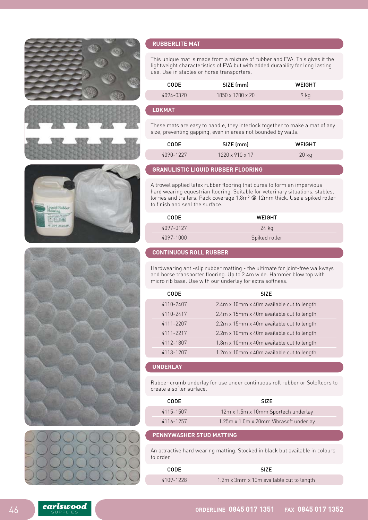











#### **Rubberlite MAT**

This unique mat is made from a mixture of rubber and EVA. This gives it the lightweight characteristics of EVA but with added durability for long lasting use. Use in stables or horse transporters.

| <b>CODE</b> | SIZE (mm)                    | WEIGHT |
|-------------|------------------------------|--------|
| 4094-0320   | $1850 \times 1200 \times 20$ | 9 ka   |

#### **LOKMAT**

These mats are easy to handle, they interlock together to make a mat of any size, preventing gapping, even in areas not bounded by walls.

| <b>CODE</b> | SIZE (mm)                   | <b>WFIGHT</b> |
|-------------|-----------------------------|---------------|
| 4090-1227   | $1220 \times 910 \times 17$ | 20 kg         |

#### **GRANULISTIC LIQUID RUBBER FLOORING**

A trowel applied latex rubber flooring that cures to form an impervious hard wearing equestrian flooring. Suitable for veterinary situations, stables, lorries and trailers. Pack coverage 1.8m<sup>2</sup> @ 12mm thick. Use a spiked roller to finish and seal the surface.

| <b>CODE</b> | <b>WEIGHT</b> |  |
|-------------|---------------|--|
| 4097-0127   | $24$ kg       |  |
| 4097-1000   | Spiked roller |  |

#### **CONTINUOUS ROLL RUBBER**

Hardwearing anti-slip rubber matting - the ultimate for joint-free walkways and horse transporter flooring. Up to 2.4m wide. Hammer blow top with micro rib base. Use with our underlay for extra softness. 

| <b>CODE</b> | <b>SIZE</b>                               |  |
|-------------|-------------------------------------------|--|
| 4110-2407   | 2.4m x 10mm x 40m available cut to length |  |
| 4110-2417   | 2.4m x 15mm x 40m available cut to length |  |
| 4111-2207   | 2.2m x 15mm x 40m available cut to length |  |
| 4111-2217   | 2.2m x 10mm x 40m available cut to length |  |
| 4112-1807   | 1.8m x 10mm x 40m available cut to length |  |
| 4113-1207   | 1.2m x 10mm x 40m available cut to length |  |

#### **UNDERLAY**

Rubber crumb underlay for use under continuous roll rubber or Solofloors to create a softer surface.

| CODE.     | SI <sub>7</sub> F                      |
|-----------|----------------------------------------|
| 4115-1507 | 12m x 1.5m x 10mm Sportech underlay    |
| 4116-1257 | 1.25m x 1.0m x 20mm Vibrasoft underlay |

#### **PENNYWASHER STUD MATTING**

An attractive hard wearing matting. Stocked in black but available in colours to order.

| <b>CODE</b> | <b>SIZE</b>                              |
|-------------|------------------------------------------|
| 4109-1228   | 1.2m x 3mm x 10m available cut to length |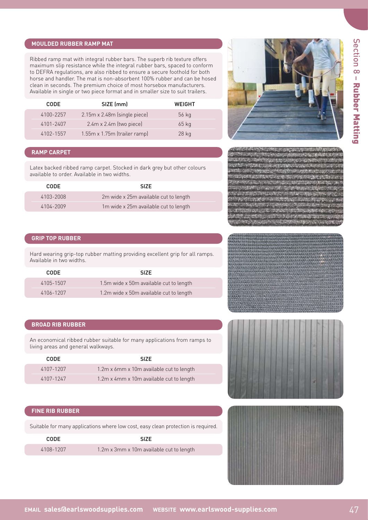#### **MOULDED RUBBER RAMP MAT**

Ribbed ramp mat with integral rubber bars. The superb rib texture offers maximum slip resistance while the integral rubber bars, spaced to conform to DEFRA regulations, are also ribbed to ensure a secure foothold for both horse and handler. The mat is non-absorbent 100% rubber and can be hosed clean in seconds. The premium choice of most horsebox manufacturers. Available in single or two piece format and in smaller size to suit trailers. 

| <b>CODE</b> | SIZE (mm)                      | WEIGHT  |
|-------------|--------------------------------|---------|
| 4100-2257   | 2.15m x 2.48m (single piece)   | 56 kg   |
| 4101-2407   | $2.4m \times 2.4m$ (two piece) | $65$ kg |
| 4102-1557   | 1.55m x 1.75m (trailer ramp)   | $28$ kg |

#### **RAMP CARPET**

Latex backed ribbed ramp carpet. Stocked in dark grey but other colours available to order. Available in two widths.

| <b>CODE</b> | <b>SIZE</b>                           |  |
|-------------|---------------------------------------|--|
| 4103-2008   | 2m wide x 25m available cut to length |  |
| 4104-2009   | 1m wide x 25m available cut to length |  |



#### **GRIP TOP RUBBER**

Hard wearing grip-top rubber matting providing excellent grip for all ramps. Available in two widths.

| CODE.     | <b>SIZE</b>                             |
|-----------|-----------------------------------------|
| 4105-1507 | 1.5m wide x 50m available cut to length |
| 4106-1207 | 1.2m wide x 50m available cut to length |

#### **BROAD RIB RUBBER**

An economical ribbed rubber suitable for many applications from ramps to living areas and general walkways. 

| CODE.     | SI <sub>7</sub> F                        |  |
|-----------|------------------------------------------|--|
| 4107-1207 | 1.2m x 6mm x 10m available cut to length |  |
| 4107-1247 | 1.2m x 4mm x 10m available cut to length |  |

#### **FINE RIB RUBBER**

Suitable for many applications where low cost, easy clean protection is required.

| CODE.     | <b>SIZE</b>                              |
|-----------|------------------------------------------|
| 4108-1207 | 1.2m x 3mm x 10m available cut to length |





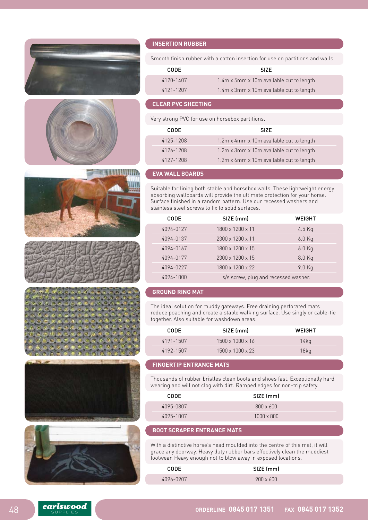













#### **INSERTION RUBBER**

Smooth finish rubber with a cotton insertion for use on partitions and walls.

| CODE.     | <b>SIZE</b>                              |
|-----------|------------------------------------------|
| 4120-1407 | 1.4m x 5mm x 10m available cut to length |
| 4121-1207 | 1.4m x 3mm x 10m available cut to length |

#### **CLEAR PVC SHEETING**

Very strong PVC for use on horsebox partitions.

| CODE.     | <b>SIZE</b>                              |
|-----------|------------------------------------------|
| 4125-1208 | 1.2m x 4mm x 10m available cut to length |
| 4126-1208 | 1.2m x 3mm x 10m available cut to length |
| 4127-1208 | 1.2m x 6mm x 10m available cut to length |

#### **EVA WALL BOARDS**

Suitable for lining both stable and horsebox walls. These lightweight energy absorbing wallboards will provide the ultimate protection for your horse. Surface finished in a random pattern. Use our recessed washers and stainless steel screws to fix to solid surfaces. 

| CODE      | SIZE (mm)                            | WEIGHT   |
|-----------|--------------------------------------|----------|
| 4094-0127 | $1800 \times 1200 \times 11$         | $4.5$ Kg |
| 4094-0137 | $2300 \times 1200 \times 11$         | $6.0$ Kg |
| 4094-0167 | 1800 x 1200 x 15                     | $6.0$ Kg |
| 4094-0177 | 2300 x 1200 x 15                     | $8.0$ Kg |
| 4094-0227 | 1800 x 1200 x 22                     | 9.0 Kg   |
| 4094-1000 | s/s screw, plug and recessed washer. |          |

#### **GROUND RING MAT**

The ideal solution for muddy gateways. Free draining perforated mats reduce poaching and create a stable walking surface. Use singly or cable-tie together. Also suitable for washdown areas.

| CODE.     | SIZE (mm)                    | WEIGHT  |
|-----------|------------------------------|---------|
| 4191-1507 | $1500 \times 1000 \times 16$ | $14$ kg |
| 4192-1507 | $1500 \times 1000 \times 23$ | 18kg    |

#### **FINGERTIP ENTRANCE MATS**

Thousands of rubber bristles clean boots and shoes fast. Exceptionally hard wearing and will not clog with dirt. Ramped edges for non-trip safety.

| CODE      | SIZE (mm)         |  |
|-----------|-------------------|--|
| 4095-0807 | $800 \times 600$  |  |
| 4095-1007 | $1000 \times 800$ |  |

#### **BOOT SCRAPER ENTRANCE MATS**

With a distinctive horse's head moulded into the centre of this mat, it will grace any doorway. Heavy duty rubber bars effectively clean the muddiest footwear. Heavy enough not to blow away in exposed locations.

| <b>CODE</b> | SIZE (mm)        |
|-------------|------------------|
| 4096-0907   | $900 \times 600$ |